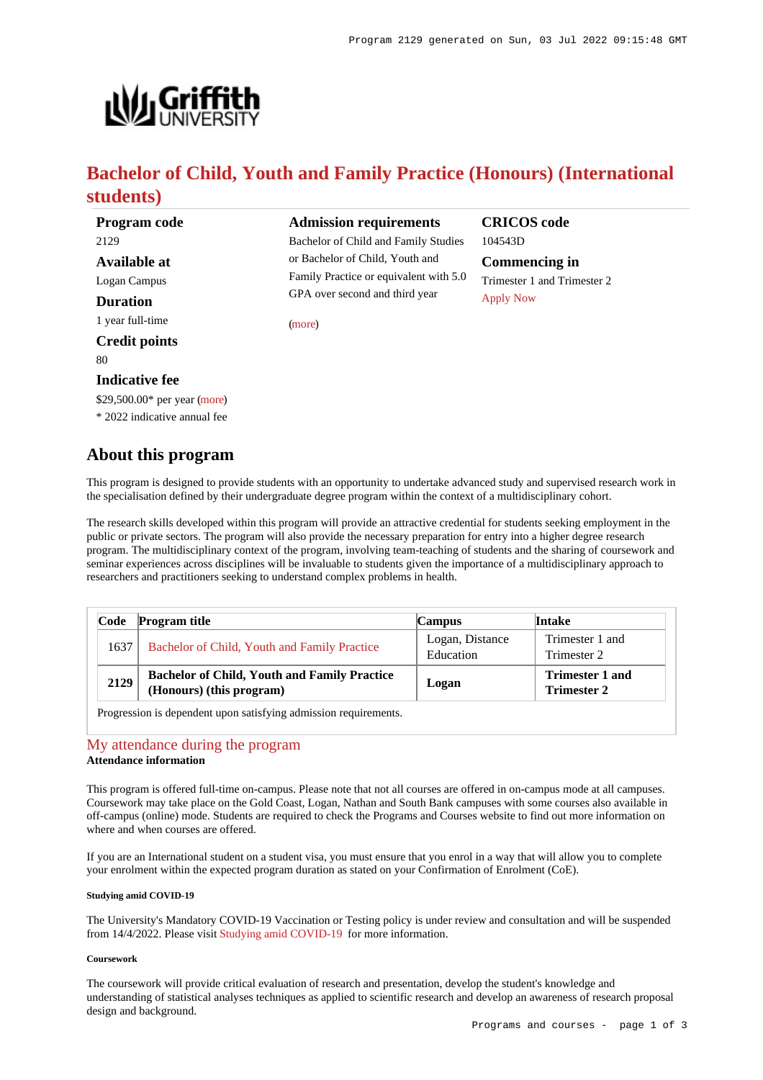

# **Bachelor of Child, Youth and Family Practice (Honours) (International students)**

| <b>Admission requirements</b>          |
|----------------------------------------|
| Bachelor of Child and Family Studies   |
| or Bachelor of Child, Youth and        |
| Family Practice or equivalent with 5.0 |
| GPA over second and third year         |
| (more)                                 |
|                                        |
|                                        |
|                                        |
|                                        |
|                                        |
|                                        |

# **CRICOS code** 104543D

**Commencing in** Trimester 1 and Trimester 2 [Apply Now](https://www148.griffith.edu.au/programs-courses/Program/2129/HowToApply/International#process)

# **About this program**

This program is designed to provide students with an opportunity to undertake advanced study and supervised research work in the specialisation defined by their undergraduate degree program within the context of a multidisciplinary cohort.

The research skills developed within this program will provide an attractive credential for students seeking employment in the public or private sectors. The program will also provide the necessary preparation for entry into a higher degree research program. The multidisciplinary context of the program, involving team-teaching of students and the sharing of coursework and seminar experiences across disciplines will be invaluable to students given the importance of a multidisciplinary approach to researchers and practitioners seeking to understand complex problems in health.

| Code | <b>Program title</b>                                                            | Campus                       | Intake                         |
|------|---------------------------------------------------------------------------------|------------------------------|--------------------------------|
| 1637 | Bachelor of Child, Youth and Family Practice                                    | Logan, Distance<br>Education | Trimester 1 and<br>Trimester 2 |
| 2129 | <b>Bachelor of Child, Youth and Family Practice</b><br>(Honours) (this program) | Logan                        | Trimester 1 and<br>Trimester 2 |

Progression is dependent upon satisfying admission requirements.

## [My attendance during the program](https://www148.griffith.edu.au/programs-courses/Program/2129/Overview/International#attendance) **Attendance information**

where and when courses are offered.

This program is offered full-time on-campus. Please note that not all courses are offered in on-campus mode at all campuses. Coursework may take place on the Gold Coast, Logan, Nathan and South Bank campuses with some courses also available in off-campus (online) mode. Students are required to check the Programs and Courses website to find out more information on

If you are an International student on a student visa, you must ensure that you enrol in a way that will allow you to complete your enrolment within the expected program duration as stated on your Confirmation of Enrolment (CoE).

## **Studying amid COVID-19**

The University's Mandatory COVID-19 Vaccination or Testing policy is under review and consultation and will be suspended from 14/4/2022. Please visit [Studying amid COVID-19](https://www.griffith.edu.au/coronavirus/studying-amid-covid-19) for more information.

## **Coursework**

The coursework will provide critical evaluation of research and presentation, develop the student's knowledge and understanding of statistical analyses techniques as applied to scientific research and develop an awareness of research proposal design and background.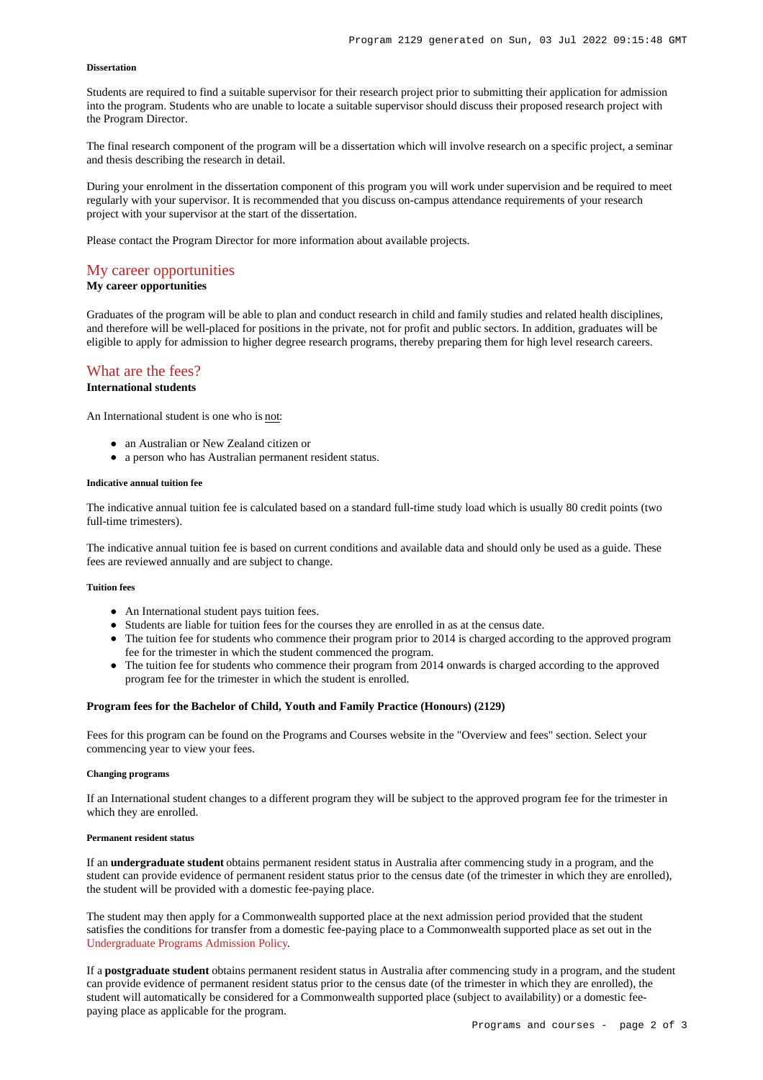#### **Dissertation**

Students are required to find a suitable supervisor for their research project prior to submitting their application for admission into the program. Students who are unable to locate a suitable supervisor should discuss their proposed research project with the Program Director.

The final research component of the program will be a dissertation which will involve research on a specific project, a seminar and thesis describing the research in detail.

During your enrolment in the dissertation component of this program you will work under supervision and be required to meet regularly with your supervisor. It is recommended that you discuss on-campus attendance requirements of your research project with your supervisor at the start of the dissertation.

Please contact the Program Director for more information about available projects.

## [My career opportunities](https://www148.griffith.edu.au/programs-courses/Program/2129/Overview/International#opportunities)

## **My career opportunities**

Graduates of the program will be able to plan and conduct research in child and family studies and related health disciplines, and therefore will be well-placed for positions in the private, not for profit and public sectors. In addition, graduates will be eligible to apply for admission to higher degree research programs, thereby preparing them for high level research careers.

## [What are the fees?](https://www148.griffith.edu.au/programs-courses/Program/2129/Overview/International#fees)

## **International students**

An International student is one who is not:

- an Australian or New Zealand citizen or
- a person who has Australian permanent resident status.

#### **Indicative annual tuition fee**

The indicative annual tuition fee is calculated based on a standard full-time study load which is usually 80 credit points (two full-time trimesters).

The indicative annual tuition fee is based on current conditions and available data and should only be used as a guide. These fees are reviewed annually and are subject to change.

### **Tuition fees**

- An International student pays tuition fees.
- Students are liable for tuition fees for the courses they are enrolled in as at the census date.
- The tuition fee for students who commence their program prior to 2014 is charged according to the approved program fee for the trimester in which the student commenced the program.
- The tuition fee for students who commence their program from 2014 onwards is charged according to the approved program fee for the trimester in which the student is enrolled.

### **Program fees for the Bachelor of Child, Youth and Family Practice (Honours) (2129)**

Fees for this program can be found on the Programs and Courses website in the "Overview and fees" section. Select your commencing year to view your fees.

#### **Changing programs**

If an International student changes to a different program they will be subject to the approved program fee for the trimester in which they are enrolled.

### **Permanent resident status**

If an **undergraduate student** obtains permanent resident status in Australia after commencing study in a program, and the student can provide evidence of permanent resident status prior to the census date (of the trimester in which they are enrolled), the student will be provided with a domestic fee-paying place.

The student may then apply for a Commonwealth supported place at the next admission period provided that the student satisfies the conditions for transfer from a domestic fee-paying place to a Commonwealth supported place as set out in the [Undergraduate Programs Admission Policy](http://policies.griffith.edu.au/pdf/Undergraduate Programs Admission Policy.pdf).

If a **postgraduate student** obtains permanent resident status in Australia after commencing study in a program, and the student can provide evidence of permanent resident status prior to the census date (of the trimester in which they are enrolled), the student will automatically be considered for a Commonwealth supported place (subject to availability) or a domestic feepaying place as applicable for the program.